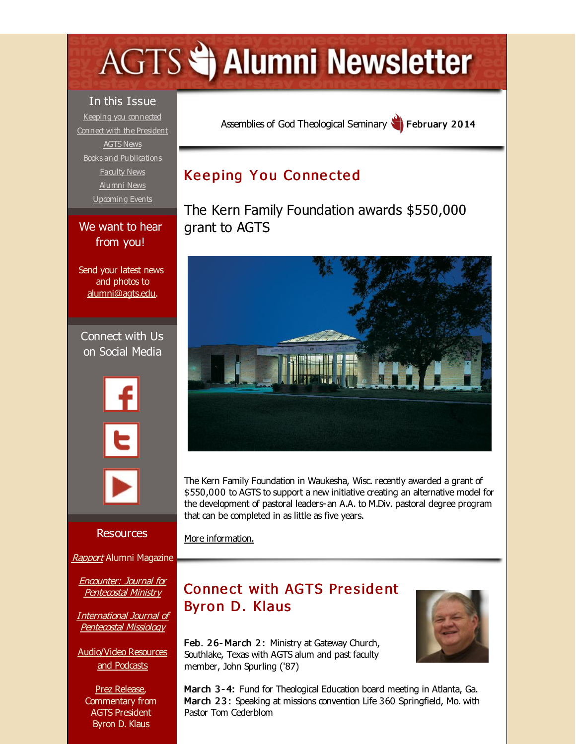# <span id="page-0-0"></span>**AGTS Statement Newsletter**

In this Issue Keeping you [connected](#page-0-0) Connect with the [President](#page-0-0) [AGTS](#page-0-0) News Books and [Publications](#page-0-0) [Faculty](#page-0-0) News [Alumni](#page-0-0) News [Upcoming](#page-0-0) Events

#### We want to hear from you!

Send your latest news and photos to [alumni@agts.edu](mailto:alumni@agts.edu).

Connect with Us on Social Media





**Resources** 

[Rapport](http://r20.rs6.net/tn.jsp?f=001cDrjjbWkjxRb2VZL-1on2euMbAEGY1t4umv0SFY3vfDL8CWjlIIhQOl29EWN5kZ3bJZnwU2T7qUlPGnqEujXwerYbqGL7et3Q6_QB8wq7EggEvB0aKD2X2H2CgC3vNrHzM0n0oAAAv7eJ-rUJi6cjp1_Rd7g0CGqcg1TQu_EvL0UaFZYNzb3GTBHRcG7hkL0&c=&ch=) Alumni Magazine

Encounter: Journal for [Pentecostal](http://r20.rs6.net/tn.jsp?f=001cDrjjbWkjxRb2VZL-1on2euMbAEGY1t4umv0SFY3vfDL8CWjlIIhQFNEvRn6-ygTjRkuV_Cakz4lLxrNm2c3XRXMLyFtVfFjCJxQi6lXilfpyFOJLBnmeVPQcnnEFMgqPm3XhvlWlqY0wAy8J3bMb2r1dvnYy3E-gX69cdLha1CrDQzhF80b4sXit36yOtUy&c=&ch=) Ministry

[International](http://r20.rs6.net/tn.jsp?f=001cDrjjbWkjxRb2VZL-1on2euMbAEGY1t4umv0SFY3vfDL8CWjlIIhQBBK43y-KyFNRIFtYIXxOf1A-u86g8lrQ0nnYxZILAdCKAqdJmJTf_XjzuPY7yHDSm7Qop410QzJ-oaL1NiB3FkcCZ9dk_rAn5jQHr4fMKQM1DS6P_X8dc87_Q-uMOQO_4wP9JjPdKBk&c=&ch=) Journal of Pentecostal Missiology

[Audio/Video](http://r20.rs6.net/tn.jsp?f=001cDrjjbWkjxRb2VZL-1on2euMbAEGY1t4umv0SFY3vfDL8CWjlIIhQE5zyP5XOH21iMcsKL0mhxDzhxE2rMKFYn42kNVm0DtWsODisvBZiLtnc7m_T-LWS4dh4sYL9wFSHL4KP8jSqhpfhwWLZydly7WaenwhCqbBMgHRsBppxK6LrSXp5PbuPaFAPJtUejXO&c=&ch=) Resources and Podcasts

Prez [Release](http://r20.rs6.net/tn.jsp?f=001cDrjjbWkjxRb2VZL-1on2euMbAEGY1t4umv0SFY3vfDL8CWjlIIhQFpoEVTJvpBxayh_9tzz0ecJyQHEizLKnOju5kGgcFPclyEib6RNndLctcZOAO8hLHmuiFpoLUWpgRUMznZHHqcTrY7UcICCw5yK9YfLF7brIX5bQi9NhEmYVD89Bx99zetmLFLRU8NHoKps5lLfo2M=&c=&ch=), Commentary from AGTS President Byron D. Klaus

Assemblies of God [Theological](http://r20.rs6.net/tn.jsp?f=001cDrjjbWkjxRb2VZL-1on2euMbAEGY1t4umv0SFY3vfDL8CWjlIIhQBFKDQvXglu0EBGTT1c2oeN9a24tsOYXAZ0WYmDSiCnIZawtrS27nYp-qt4prVoUbiT0Uf4pcyA1CHmtQVKvll6GsPE0Pe4cjCHyXnJP-q6e&c=&ch=) Seminary **February 2014** 

## **Keeping You Connected**

The Kern Family Foundation awards \$550,000 grant to AGTS



The Kern Family Foundation in Waukesha, Wisc. recently awarded a grant of \$550,000 to AGTS to support a new initiative creating an alternative model for the development of pastoral leaders-an A.A. to M.Div. pastoral degree program that can be completed in as little as five years.

More [information.](http://r20.rs6.net/tn.jsp?f=001cDrjjbWkjxRb2VZL-1on2euMbAEGY1t4umv0SFY3vfDL8CWjlIIhQOnoJ_BVAoPaAT2mklX97BxxOVfxmnU0ZHPuWX9q1D4uq0BX0uBFFchdCVJHu9-hPjWWxq_Hlj0p1w2Mj80TgdWm3u8tTh7HAAS19sOHmCvUsblI1dKUPgIZ9RkmXjyMtunWfwZnFxHa3-JYLXWv-i2zmX-aWjFuq2Hwa_JPugTt&c=&ch=)

## **Connect with AGTS President** Byron D. Klaus

Feb. 26- March 2: Ministry at Gateway Church, Southlake, Texas with AGTS alum and past faculty member, John Spurling ('87)



March 3 - 4: Fund for Theological Education board meeting in Atlanta, Ga. March 23: Speaking at missions convention Life 360 Springfield, Mo. with Pastor Tom Cederblom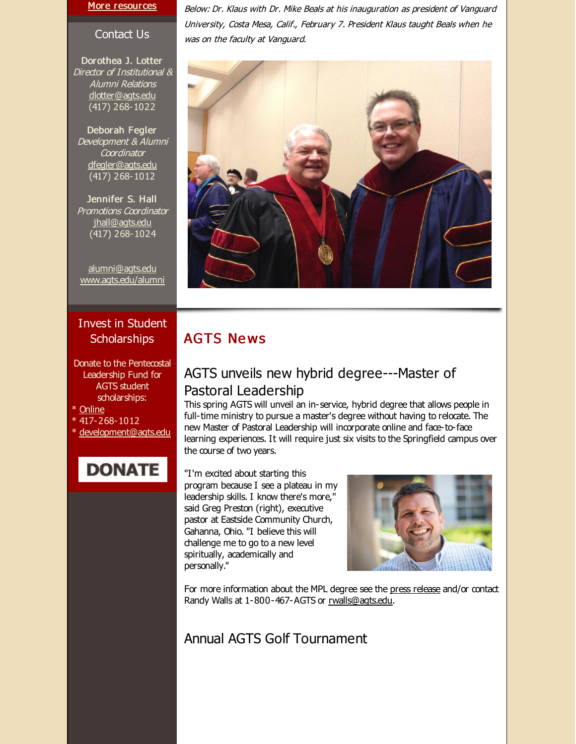#### More [resources](http://r20.rs6.net/tn.jsp?f=001cDrjjbWkjxRb2VZL-1on2euMbAEGY1t4umv0SFY3vfDL8CWjlIIhQImPruePR-YbFCiC8p8rgXnoJkUwTNAeFq_pzfAfmlM6f7LQjIdFlI61-y4lFd8yZaU8G2WxC5Q9ovyoUa9T0-mp1_TmzszhCMXSnX7fIWX3lOgFxVHFiqQNq6fTjsc060ggbB3E3-9miasG-p5bIyU=&c=&ch=)

Contact Us

Dorothea J. Lotter Director of Institutional & Alumni Relations [dlotter@agts.edu](mailto:dlotter@agts.edu) (417) 268-1022

Deborah Fegler Development & Alumni **Coordinator** [dfegler@agts.edu](mailto:dfegler@agts.edu) (417) 268-1012

Jennifer S. Hall Promotions Coordinator [jhall@agts.edu](mailto:jhall@agts.edu) (417) 268-1024

[alumni@agts.edu](mailto:alumni@agts.edu) [www.agts.edu/alumni](http://r20.rs6.net/tn.jsp?f=001cDrjjbWkjxRb2VZL-1on2euMbAEGY1t4umv0SFY3vfDL8CWjlIIhQGAGnYmKDiVgN3SJeWphpE4LgPtWJv2Y9SE6wKENlkqcf2cWhN3PmejeLohKsugGOEFaLlPsDH9eqvDU6yXppUssKAjc9ss8qh4mMuIA5mKgW9DwbxDaHIjEIQVnJJ-BWQ==&c=&ch=)

#### Invest in Student **Scholarships**

Donate to the Pentecostal Leadership Fund for AGTS student scholarships:

\* [Online](http://r20.rs6.net/tn.jsp?f=001cDrjjbWkjxRb2VZL-1on2euMbAEGY1t4umv0SFY3vfDL8CWjlIIhQJczqicysnJ9moOtMxU4O48vkL0d0Y1tO3pF7nAIF84ZJVauyv3GCUXKaYWUwAQ3mHQ92PE21gIRPtXUAmUMLwyL6BFYhGS3IzRXhmMCYAV6FnVsX-5eCdvWuge_RvN-JfdeOZunLCUESnYC9s5fEpBwBVLaqzhcLw==&c=&ch=)

\* 417-268-1012

\* [development@agts.edu](mailto:development@agts.edu)

## **DONATE**

Below: Dr. Klaus with Dr. Mike Beals at his inauguration as president of Vanguard University, Costa Mesa, Calif., February 7. President Klaus taught Beals when he was on the faculty at Vanguard.



#### **AGTS News**

#### AGTS unveils new hybrid degree---Master of Pastoral Leadership

This spring AGTS will unveil an in-service, hybrid degree that allows people in full-time ministry to pursue a master's degree without having to relocate. The new Master of Pastoral Leadership will incorporate online and face-to-face learning experiences. It will require just six visits to the Springfield campus over the course of two years.

"I'm excited about starting this program because I see a plateau in my leadership skills. I know there's more," said Greg Preston (right), executive pastor at Eastside Community Church, Gahanna, Ohio. "I believe this will challenge me to go to a new level spiritually, academically and personally."



For more information about the MPL degree see the press [release](http://r20.rs6.net/tn.jsp?f=001cDrjjbWkjxRb2VZL-1on2euMbAEGY1t4umv0SFY3vfDL8CWjlIIhQOnoJ_BVAoPadxG7pN0BIQFm2hgNh6b10jcbipHAlGuNf1e_QbLhFKKjA_tCM7TkzF3AYkvuvHlpU-4Q7qdJEyDu_W7uWMpQ-O4oCOnbQVksTaYeKoPmZ_tq5ufjeEAHknHchNhIlxoqHfoQuDJGFhrWD0APvz8BOqD_mNS1I-1s&c=&ch=) and/or contact Randy Walls at 1-800-467-AGTS or [rwalls@agts.edu](mailto:rwalls@agts.edu).

#### Annual AGTS Golf Tournament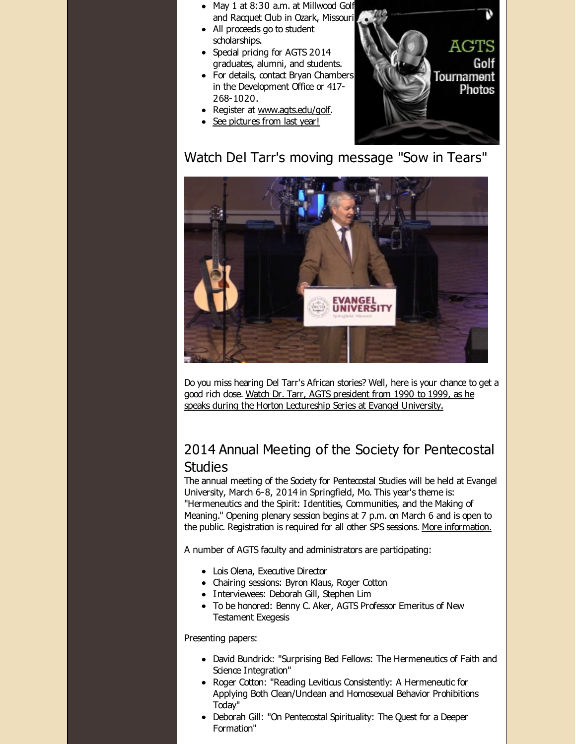- May 1 at 8:30 a.m. at Millwood Golf and Racquet Club in Ozark, Missouri
- All proceeds go to student scholarships.
- Special pricing for AGTS 2014 graduates, alumni, and students.
- For details, contact Bryan Chambers in the Development Office or 417- 268-1020.
- Register at [www.agts.edu/golf](http://r20.rs6.net/tn.jsp?f=001cDrjjbWkjxRb2VZL-1on2euMbAEGY1t4umv0SFY3vfDL8CWjlIIhQHIQlrantV-_Zi1KTPX5_Ou--C30c74AU8xW-yOXzYQmVrnoaH-Ndn09b9FgLoKuLaFhbiqRA2p8Qzccim8zx9rx6PqTcH7NpuQOyQiGao-aYlQvc2bLnD8=&c=&ch=).
- See [pictures](http://r20.rs6.net/tn.jsp?f=001cDrjjbWkjxRb2VZL-1on2euMbAEGY1t4umv0SFY3vfDL8CWjlIIhQOnoJ_BVAoPaI7kDZcsXZkWdbEpz70en-PwWLNvWfnbplMRsowGRBCtN8OSVso8-VshLXNF-xuzlHTSy6g7gr2pXPgsBVA3Ylgwue0abnsXYGmaCpWxgVc_1lfGWX3jzqlIa7mxhldfIAYAB-YAFTEBX0ff8-rjnlDU7Re-WEKnV2sIZTbcTHmMy4r5br24n4X4wlXULI77Z-nBcmwEefitX1EfXWtqVEA==&c=&ch=) from last year!



Watch Del Tarr's moving message "Sow in Tears"



Do you miss hearing Del Tarr's African stories? Well, here is your chance to get a good rich dose. Watch Dr. Tarr, AGTS president from 1990 to 1999, as he speaks during the Horton [Lectureship](http://r20.rs6.net/tn.jsp?f=001cDrjjbWkjxRb2VZL-1on2euMbAEGY1t4umv0SFY3vfDL8CWjlIIhQOnoJ_BVAoPaStMZDLH4J-5UMk81O_BJzVx6PaBK0jp45j3grxzpm7AzCrZLj5ujxIfMEtxRFNDfpNpJSW_h0rTr6bPHW13HHsJWRyXEq3inSJKBff6C6YbQRlKEempUbvS_mbgdQU8U_gosbhkxCT0S4sNNg4vpdVNOqAIoDr8AYPZ-2UsujrQ7O01wLg-44w==&c=&ch=) Series at Evangel University.

## 2014 Annual Meeting of the Society for Pentecostal Studies

The annual meeting of the Society for Pentecostal Studies will be held at Evangel University, March 6-8, 2014 in Springfield, Mo. This year's theme is: "Hermeneutics and the Spirit: Identities, Communities, and the Making of Meaning." Opening plenary session begins at 7 p.m. on March 6 and is open to the public. Registration is required for all other SPS sessions. More [information.](http://r20.rs6.net/tn.jsp?f=001cDrjjbWkjxRb2VZL-1on2euMbAEGY1t4umv0SFY3vfDL8CWjlIIhQGW1Oec1NNitTwO_mE562XknAFxPq9UN4TLoRxZO9Og9q9Zm80v3P2qQJMOp90b4uSDNigW2MBWuJhR5-QjMCWNAOM7msutfLrAn5u7Vf2iy2sjYVRofY3hcVSNfjqFAZ3lR-shq_1fMrzGccVWb7OV93i1HztdeSw==&c=&ch=)

A number of AGTS faculty and administrators are participating:

- Lois Olena, Executive Director
- Chairing sessions: Byron Klaus, Roger Cotton
- Interviewees: Deborah Gill, Stephen Lim
- To be honored: Benny C. Aker, AGTS Professor Emeritus of New Testament Exegesis

Presenting papers:

- David Bundrick: "Surprising Bed Fellows: The Hermeneutics of Faith and Science Integration"
- Roger Cotton: "Reading Leviticus Consistently: A Hermeneutic for Applying Both Clean/Undean and Homosexual Behavior Prohibitions Today"
- Deborah Gill: "On Pentecostal Spirituality: The Quest for a Deeper Formation"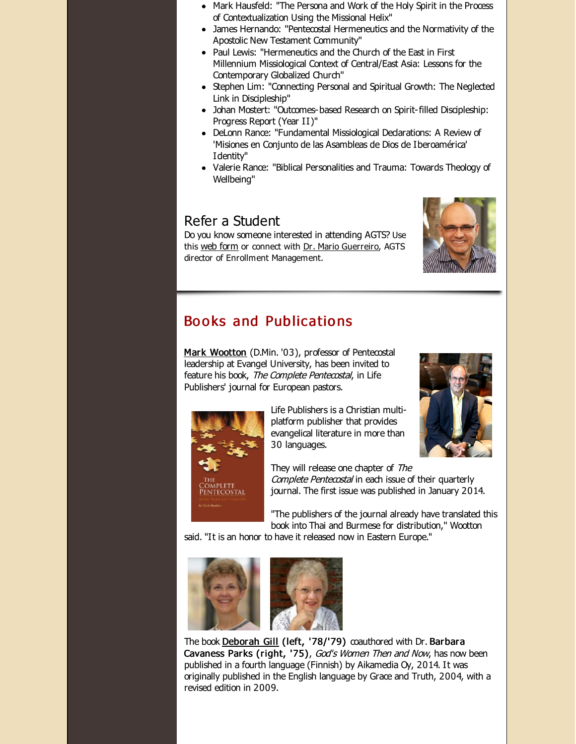- Mark Hausfeld: "The Persona and Work of the Holy Spirit in the Process of Contextualization Using the Missional Helix"
- James Hernando: "Pentecostal Hermeneutics and the Normativity of the Apostolic New Testament Community"
- Paul Lewis: "Hermeneutics and the Church of the East in First Millennium Missiological Context of Central/East Asia: Lessons for the Contemporary Globalized Church"
- Stephen Lim: "Connecting Personal and Spiritual Growth: The Neglected Link in Discipleship"
- Johan Mostert: "Outcomes-based Research on Spirit-filled Discipleship: Progress Report (Year II)"
- DeLonn Rance: "Fundamental Missiological Declarations: A Review of 'Misiones en Conjunto de las Asambleas de Dios de Iberoamérica' Identity"
- Valerie Rance: "Biblical Personalities and Trauma: Towards Theology of Wellbeing"

## Refer a Student

Do you know someone interested in attending AGTS? Use this web [form](http://r20.rs6.net/tn.jsp?f=001cDrjjbWkjxRb2VZL-1on2euMbAEGY1t4umv0SFY3vfDL8CWjlIIhQEcnukb-Gfo8EJBz1Xpk5YULGmh5vZTXtUmHJfsvMaooj1UqhXM3RoEg88aJxuXmSKiOOTa11FjWj39v8aPy1YpYqtrRoVu_9cv69DIVnEoXRzz7QW8Qdxl3CUvbo6H_mQ==&c=&ch=) or connect with Dr. Mario [Guerreiro](http://r20.rs6.net/tn.jsp?f=001cDrjjbWkjxRb2VZL-1on2euMbAEGY1t4umv0SFY3vfDL8CWjlIIhQL8luhx2J_43qOPjWzVqQayysIgp8nxyxHvMB1t9jXImuY0ZgWWMietCB-kxBjddvE2hp-PwQMUc4HyLNOKQsGlVO-STHg1wkaXi1Z4ANeIU-RVeQqkOuMxeLgoCISM9UGO4LgXTaGnqxy33OhP60TE=&c=&ch=), AGTS director of Enrollment Management.



#### Books and Publications

Mark [Wootton](http://r20.rs6.net/tn.jsp?f=001cDrjjbWkjxRb2VZL-1on2euMbAEGY1t4umv0SFY3vfDL8CWjlIIhQOnoJ_BVAoPawo-LIIUY9hfnaxCBad5Y9PwLnnP45LTJHitTjorm8pzqfNWROWFt86uYbRo6sOZ8KOzGRiJxYVdIoidy7ljif1Z98I6xRucDj0SXoba8w7g6w7RGuglH2fy_5gb-kx74Fn3bgSZcmnMw9fX_D4BXsy1xjWceca99DfOsBiBVoXw=&c=&ch=) (D.Min. '03), professor of Pentecostal leadership at Evangel University, has been invited to feature his book, The Complete Pentecostal, in Life Publishers' journal for European pastors.



Life Publishers is a Christian multiplatform publisher that provides evangelical literature in more than 30 languages.



They will release one chapter of The Complete Pentecostal in each issue of their quarterly journal. The first issue was published in January 2014.

"The publishers of the journal already have translated this book into Thai and Burmese for distribution," Wootton

said. "It is an honor to have it released now in Eastern Europe."





The book [Deborah](http://r20.rs6.net/tn.jsp?f=001cDrjjbWkjxRb2VZL-1on2euMbAEGY1t4umv0SFY3vfDL8CWjlIIhQHRUPuOp_0gElnIJATXk0Y_cAajmo2Z7W8ReWoxn2i-LabF-19sLlWwsX_-gA69OkaB-aOxr9QdsdRyJ918QIESAjaIq_39s0f76zdJ0hIfvaF2i_-zifOMkF_JAeOeVZkUi0Px7JulC&c=&ch=) Gill (left, '78/'79) coauthored with Dr. Barbara Cavaness Parks (right, '75), God's Women Then and Now, has now been published in a fourth language (Finnish) by Aikamedia Oy, 2014. It was originally published in the English language by Grace and Truth, 2004, with a revised edition in 2009.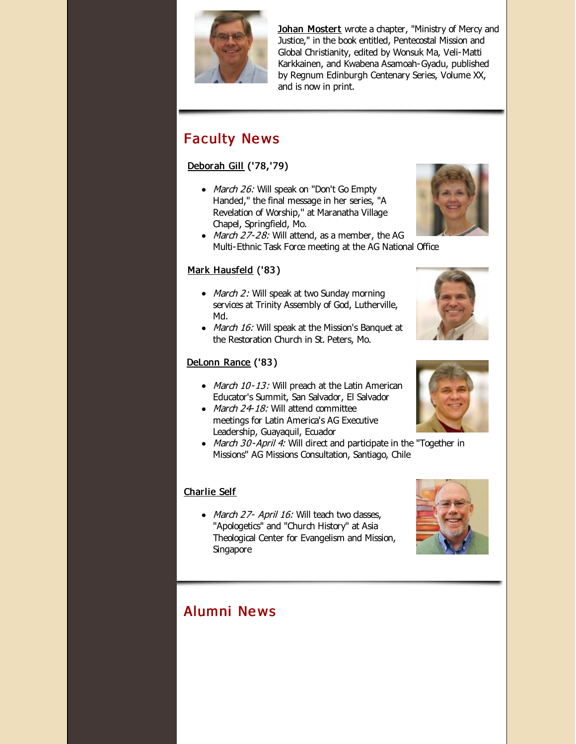

Johan [Mostert](http://r20.rs6.net/tn.jsp?f=001cDrjjbWkjxRb2VZL-1on2euMbAEGY1t4umv0SFY3vfDL8CWjlIIhQEj_P5Ktaff862_NxIhXTt4oPf8Go-66uZmkMRuhx0zyEU12JYpMBUOh3ysM88Rq-NoMzWO-oVr6q0mwF3prnCr3qKoYPNhmXaw_V_jR88IkY1HKmxcXsclQZS60Ezew9xx-VJaRXkS124Sghafa79E=&c=&ch=) wrote a chapter, "Ministry of Mercy and Justice," in the book entitled, Pentecostal Mission and Global Christianity, edited by Wonsuk Ma, Veli-Matti Karkkainen, and Kwabena Asamoah-Gyadu, published by Regnum Edinburgh Centenary Series, Volume XX, and is now in print.

## **Faculty News**

#### [Deborah](http://r20.rs6.net/tn.jsp?f=001cDrjjbWkjxRb2VZL-1on2euMbAEGY1t4umv0SFY3vfDL8CWjlIIhQHRUPuOp_0gElnIJATXk0Y_cAajmo2Z7W8ReWoxn2i-LabF-19sLlWwsX_-gA69OkaB-aOxr9QdsdRyJ918QIESAjaIq_39s0f76zdJ0hIfvaF2i_-zifOMkF_JAeOeVZkUi0Px7JulC&c=&ch=) Gill ('78,'79)

- March 26: Will speak on "Don't Go Empty Handed," the final message in her series, "A Revelation of Worship," at Maranatha Village Chapel, Springfield, Mo.
- March  $27-28$ : Will attend, as a member, the AG Multi-Ethnic Task Force meeting at the AG National Office

#### Mark [Hausfeld](http://r20.rs6.net/tn.jsp?f=001cDrjjbWkjxRb2VZL-1on2euMbAEGY1t4umv0SFY3vfDL8CWjlIIhQINm8VTc_KNIjgLCdj6jdPyw3sXvHBC9M7PNO0HMgZ2MjAntNg_aM8Ig7cAZkvwNdsGPYHhf-ie33l5yFcJdYVIZTENhif7R3YbHSw2Jn4KZQENQ96hP6kJeGAhDPpHNRTPJJcOFcyrrTwzWtzcHyFs=&c=&ch=) ('83 )

- March 2: Will speak at two Sunday morning services at Trinity Assembly of God, Lutherville, Md.
- March 16: Will speak at the Mission's Banquet at the Restoration Church in St. Peters, Mo.

#### [DeLonn](http://r20.rs6.net/tn.jsp?f=001cDrjjbWkjxRb2VZL-1on2euMbAEGY1t4umv0SFY3vfDL8CWjlIIhQFrjE5ifGmsDb-PiZWXqLkqnTNq5XBdngFKbKt-WO7O_SOI3NcFnL8tju90KzPtqQqnApi0JOC4VqM1ksB2QBeNy551-UwgRFKi84SfX1SkDIohOc0GKR1-uHFjfBwFWNdseWxQF9GFw&c=&ch=) Rance ('83 )

- March 10-13: Will preach at the Latin American Educator's Summit, San Salvador, El Salvador
- March  $24-18$ : Will attend committee meetings for Latin America's AG Executive Leadership, Guayaquil, Ecuador
- March 30-April 4: Will direct and participate in the "Together in Missions" AG Missions Consultation, Santiago, Chile

#### [Charlie](http://r20.rs6.net/tn.jsp?f=001cDrjjbWkjxRb2VZL-1on2euMbAEGY1t4umv0SFY3vfDL8CWjlIIhQDxtlP84RBy7OTFBPB996WXH5hZG9YCJgaysVYiwJwhbKOXDMpClXC4svI1I8dUPvBVEtBvBZKQjo6VJG9JMMLmmJI6B98Wg4F3E7aNfuLFDKMWcn-kW5PAIlQP8JS9A_1c2hoMh9WpL&c=&ch=) Self

• March 27- April 16: Will teach two dasses, "Apologetics" and "Church History" at Asia Theological Center for Evangelism and Mission, Singapore

## Alumni Ne ws







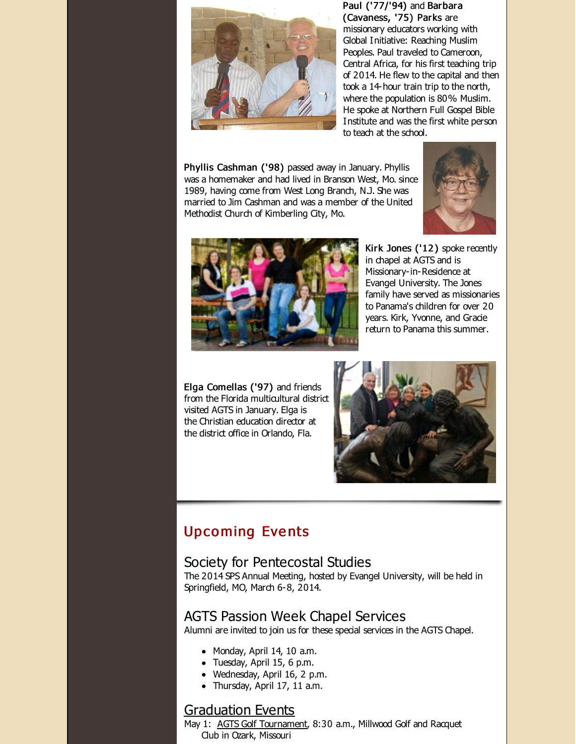

Paul ('77/'94) and Barbara (Cavaness, '75) Parks are missionary educators working with Global Initiative: Reaching Muslim Peoples. Paul traveled to Cameroon, Central Africa, for his first teaching trip of 2014. He flew to the capital and then took a 14-hour train trip to the north, where the population is 80% Muslim. He spoke at Northern Full Gospel Bible Institute and was the first white person to teach at the school.

Phyllis Cashman ('98) passed away in January. Phyllis was a homemaker and had lived in Branson West, Mo. since 1989, having come from West Long Branch, N.J. She was married to Jim Cashman and was a member of the United Methodist Church of Kimberling City, Mo.





Kirk Jones ('12 ) spoke recently in chapel at AGTS and is Missionary-in-Residence at Evangel University. The Jones family have served as missionaries to Panama's children for over 20 years. Kirk, Yvonne, and Gracie return to Panama this summer.

Elga Comellas ('97) and friends from the Florida multicultural district visited AGTS in January. Elga is the Christian education director at the district office in Orlando, Fla.



## Upco ming Eve nts

#### Society for Pentecostal Studies

The 2014 SPS Annual Meeting, hosted by Evangel University, will be held in Springfield, MO, March 6-8, 2014.

#### AGTS Passion Week Chapel Services

Alumni are invited to join us for these special services in the AGTS Chapel.

- $\bullet$  Monday, April 14, 10 a.m.
- Tuesday, April 15, 6 p.m.
- Wednesday, April 16, 2 p.m.
- Thursday, April 17, 11 a.m.

#### [Graduation](http://r20.rs6.net/tn.jsp?f=001cDrjjbWkjxRb2VZL-1on2euMbAEGY1t4umv0SFY3vfDL8CWjlIIhQOnoJ_BVAoPakXHEc9JHsRLVcdVQaTWc56c3r6iQa7Xm2hGh0t0yB6SONGsjy4C989xd7pDXPqYeEUqbh1VoqtGWdXQut_H4ZyQk8OfUMuxhwSy1LmR-pqlyGBvXpC_Vwj49t2DPpzsPLoY08hORFyI=&c=&ch=) Events

May 1: AGTS Golf [Tournament](http://r20.rs6.net/tn.jsp?f=001cDrjjbWkjxRb2VZL-1on2euMbAEGY1t4umv0SFY3vfDL8CWjlIIhQE8rqHumVORoyweTpHXOQAdkddAK5IrSqp3X1wT7Y1YH722R4Giw6zl9IhW5pmLxVV6j8stCJ948u5LK4uLb6C-J4aQfjJzfl2h86zYnSS7pL_sJ-8YySz7pGEW0ZFqD-2fcpDcdYC5OkKDCX98SCeI=&c=&ch=), 8:30 a.m., Millwood Golf and Racquet Club in Ozark, Missouri